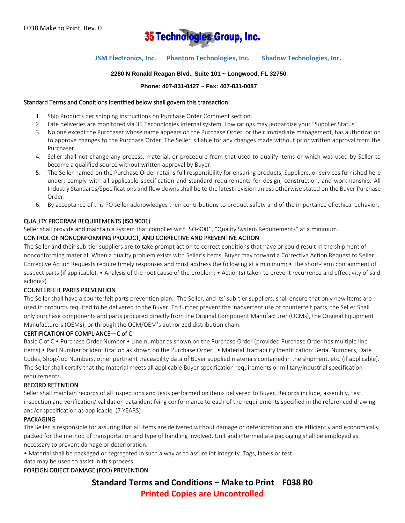

# **JSM Electronics, Inc. Phantom Technologies, Inc. Shadow Technologies, Inc.**

### **2280 N Ronald Reagan Blvd., Suite 101 ~ Longwood, FL 32750**

### **Phone: 407-831-0427 ~ Fax: 407-831-0087**

#### Standard Terms and Conditions identified below shall govern this transaction:

- 1. Ship Products per shipping instructions on Purchase Order Comment section.
- 2. Late deliveries are monitored via 35 Technologies internal system. Low ratings may jeopardize your "Supplier Status".
- 3. No one except the Purchaser whose name appears on the Purchase Order, or their immediate management, has authorization to approve changes to the Purchase Order. The Seller is liable for any changes made without prior written approval from the Purchaser.
- 4. Seller shall not change any process, material, or procedure from that used to qualify items or which was used by Seller to become a qualified source without written approval by Buyer.
- 5. The Seller named on the Purchase Order retains full responsibility for ensuring products, Suppliers, or services furnished here under; comply with all applicable specification and standard requirements for design, construction, and workmanship. All Industry Standards/Specifications and flow downs shall be to the latest revision unless otherwise stated on the Buyer Purchase Order.
- 6. By acceptance of this PO seller acknowledges their contributions to product safety and of the importance of ethical behavior.

### QUALITY PROGRAM REQUIREMENTS (ISO 9001)

Seller shall provide and maintain a system that complies with ISO-9001, "Quality System Requirements" at a minimum.

## CONTROL OF NONCONFORMING PRODUCT, AND CORRECTIVE AND PREVENTIVE ACTION

The Seller and their sub-tier suppliers are to take prompt action to correct conditions that have or could result in the shipment of nonconforming material. When a quality problem exists with Seller's items, Buyer may forward a Corrective Action Request to Seller. Corrective Action Requests require timely responses and must address the following at a minimum: • The short-term containment of suspect parts (if applicable); • Analysis of the root cause of the problem; • Action(s) taken to prevent recurrence and effectivity of said action(s)

### COUNTERFEIT PARTS PREVENTION

The Seller shall have a counterfeit parts prevention plan. The Seller, and its' sub-tier suppliers, shall ensure that only new items are used in products required to be delivered to the Buyer. To further prevent the inadvertent use of counterfeit parts, the Seller Shall only purchase components and parts procured directly from the Original Component Manufacturer (OCMs), the Original Equipment Manufacturers (OEMs), or through the OCM/OEM's authorized distribution chain.

#### CERTIFICATION OF COMPLIANCE—C of C

Basic C of C • Purchase Order Number • Line number as shown on the Purchase Order (provided Purchase Order has multiple line items) • Part Number or identification as shown on the Purchase Order. • Material Tractability Identification: Serial Numbers, Date Codes, Shop/Job Numbers, other pertinent traceability data of Buyer supplied materials contained in the shipment, etc. (if applicable). The Seller shall certify that the material meets all applicable Buyer specification requirements or military/industrial specification requirements.

### RECORD RETENTION

Seller shall maintain records of all inspections and tests performed on items delivered to Buyer. Records include, assembly, test, inspection and verification/ validation data identifying conformance to each of the requirements specified in the referenced drawing and/or specification as applicable. (7 YEARS)

### PACKAGING

The Seller is responsible for assuring that all items are delivered without damage or deterioration and are efficiently and economically packed for the method of transportation and type of handling involved. Unit and intermediate packaging shall be employed as necessary to prevent damage or deterioration.

• Material shall be packaged or segregated in such a way as to assure lot integrity. Tags, labels or test data may be used to assist in this process.

### FOREIGN OBJECT DAMAGE (FOD) PREVENTION

**Standard Terms and Conditions – Make to Print F038 R0 Printed Copies are Uncontrolled**